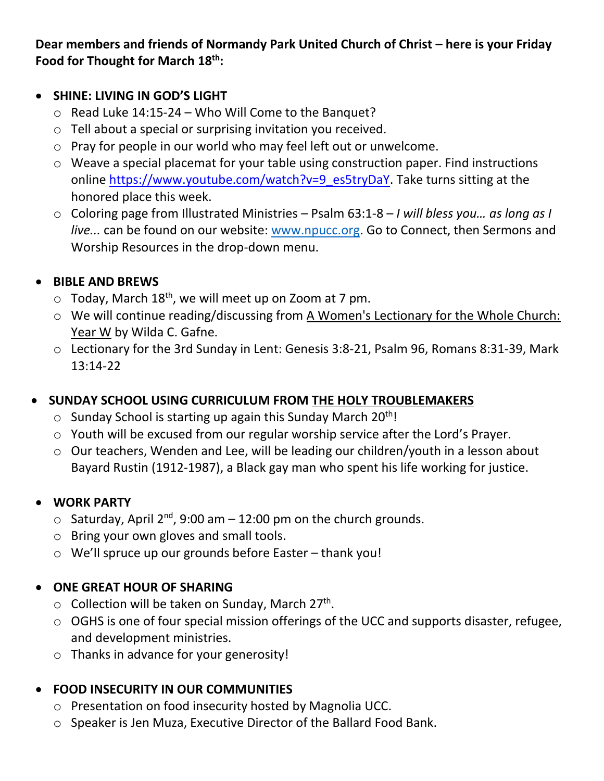**Dear members and friends of Normandy Park United Church of Christ – here is your Friday Food for Thought for March 18th:**

#### • **SHINE: LIVING IN GOD'S LIGHT**

- $\circ$  Read Luke 14:15-24 Who Will Come to the Banquet?
- o Tell about a special or surprising invitation you received.
- o Pray for people in our world who may feel left out or unwelcome.
- o Weave a special placemat for your table using construction paper. Find instructions online [https://www.youtube.com/watch?v=9\\_es5tryDaY.](https://www.youtube.com/watch?v=9_es5tryDaY) Take turns sitting at the honored place this week.
- o Coloring page from Illustrated Ministries Psalm 63:1-8 *I will bless you… as long as I live...* can be found on our website: [www.npucc.org.](http://www.npucc.org/) Go to Connect, then Sermons and Worship Resources in the drop-down menu.

#### • **BIBLE AND BREWS**

- $\circ$  Today, March 18<sup>th</sup>, we will meet up on Zoom at 7 pm.
- o We will continue reading/discussing from A Women's Lectionary for the Whole Church: Year W by Wilda C. Gafne.
- o Lectionary for the 3rd Sunday in Lent: Genesis 3:8-21, Psalm 96, Romans 8:31-39, Mark 13:14-22

## • **SUNDAY SCHOOL USING CURRICULUM FROM THE HOLY TROUBLEMAKERS**

- $\circ$  Sunday School is starting up again this Sunday March 20<sup>th</sup>!
- o Youth will be excused from our regular worship service after the Lord's Prayer.
- o Our teachers, Wenden and Lee, will be leading our children/youth in a lesson about Bayard Rustin (1912-1987), a Black gay man who spent his life working for justice.

#### • **WORK PARTY**

- $\circ$  Saturday, April 2<sup>nd</sup>, 9:00 am 12:00 pm on the church grounds.
- o Bring your own gloves and small tools.
- o We'll spruce up our grounds before Easter thank you!

## • **ONE GREAT HOUR OF SHARING**

- $\circ$  Collection will be taken on Sunday, March 27<sup>th</sup>.
- o OGHS is one of four special mission offerings of the UCC and supports disaster, refugee, and development ministries.
- o Thanks in advance for your generosity!

## • **FOOD INSECURITY IN OUR COMMUNITIES**

- o Presentation on food insecurity hosted by Magnolia UCC.
- o Speaker is Jen Muza, Executive Director of the Ballard Food Bank.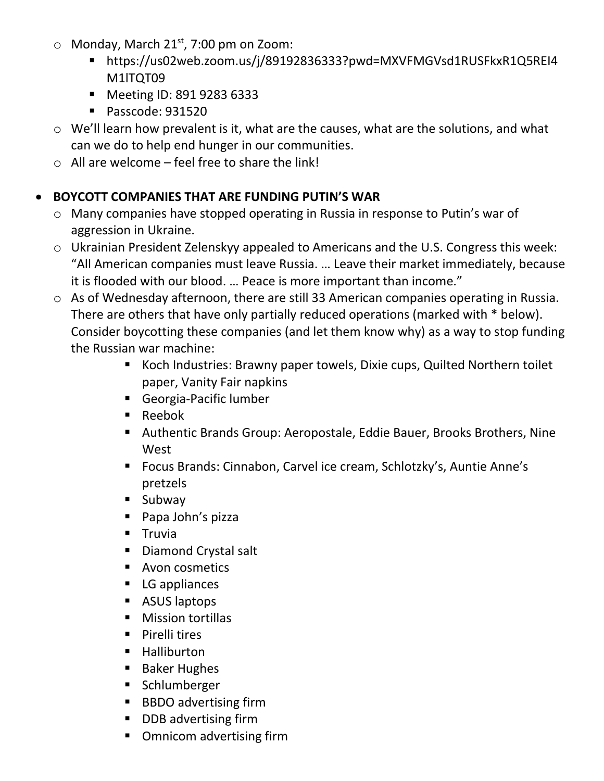- $\circ$  Monday, March 21<sup>st</sup>, 7:00 pm on Zoom:
	- https://us02web.zoom.us/j/89192836333?pwd=MXVFMGVsd1RUSFkxR1Q5REI4 M1ITOT09
	- Meeting ID: 891 9283 6333
	- Passcode: 931520
- o We'll learn how prevalent is it, what are the causes, what are the solutions, and what can we do to help end hunger in our communities.
- $\circ$  All are welcome feel free to share the link!

# • **BOYCOTT COMPANIES THAT ARE FUNDING PUTIN'S WAR**

- o Many companies have stopped operating in Russia in response to Putin's war of aggression in Ukraine.
- o Ukrainian President Zelenskyy appealed to Americans and the U.S. Congress this week: "All American companies must leave Russia. … Leave their market immediately, because it is flooded with our blood. … Peace is more important than income."
- o As of Wednesday afternoon, there are still 33 American companies operating in Russia. There are others that have only partially reduced operations (marked with \* below). Consider boycotting these companies (and let them know why) as a way to stop funding the Russian war machine:
	- Koch Industries: Brawny paper towels, Dixie cups, Quilted Northern toilet paper, Vanity Fair napkins
	- Georgia-Pacific lumber
	- Reebok
	- Authentic Brands Group: Aeropostale, Eddie Bauer, Brooks Brothers, Nine West
	- Focus Brands: Cinnabon, Carvel ice cream, Schlotzky's, Auntie Anne's pretzels
	- Subway
	- Papa John's pizza
	- Truvia
	- Diamond Crystal salt
	- Avon cosmetics
	- LG appliances
	- ASUS laptops
	- Mission tortillas
	- Pirelli tires
	- Halliburton
	- Baker Hughes
	- Schlumberger
	- BBDO advertising firm
	- DDB advertising firm
	- Omnicom advertising firm